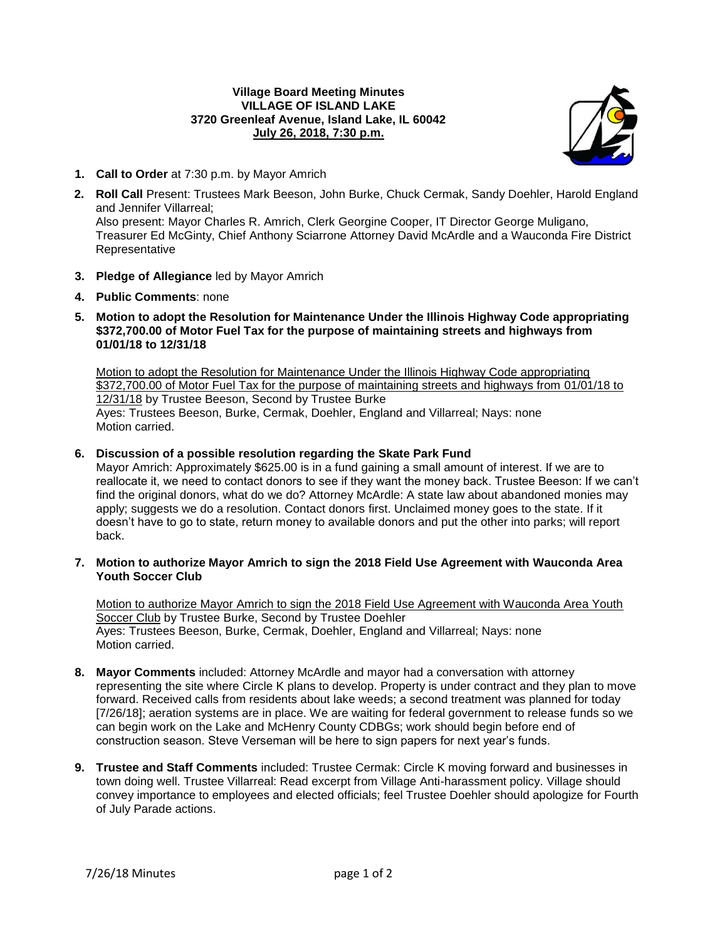## **Village Board Meeting Minutes VILLAGE OF ISLAND LAKE 3720 Greenleaf Avenue, Island Lake, IL 60042 July 26, 2018, 7:30 p.m.**



- **1. Call to Order** at 7:30 p.m. by Mayor Amrich
- **2. Roll Call** Present: Trustees Mark Beeson, John Burke, Chuck Cermak, Sandy Doehler, Harold England and Jennifer Villarreal; Also present: Mayor Charles R. Amrich, Clerk Georgine Cooper, IT Director George Muligano, Treasurer Ed McGinty, Chief Anthony Sciarrone Attorney David McArdle and a Wauconda Fire District Representative
- **3. Pledge of Allegiance** led by Mayor Amrich
- **4. Public Comments**: none
- **5. Motion to adopt the Resolution for Maintenance Under the Illinois Highway Code appropriating \$372,700.00 of Motor Fuel Tax for the purpose of maintaining streets and highways from 01/01/18 to 12/31/18**

Motion to adopt the Resolution for Maintenance Under the Illinois Highway Code appropriating \$372,700.00 of Motor Fuel Tax for the purpose of maintaining streets and highways from 01/01/18 to 12/31/18 by Trustee Beeson, Second by Trustee Burke Ayes: Trustees Beeson, Burke, Cermak, Doehler, England and Villarreal; Nays: none Motion carried.

## **6. Discussion of a possible resolution regarding the Skate Park Fund**

Mayor Amrich: Approximately \$625.00 is in a fund gaining a small amount of interest. If we are to reallocate it, we need to contact donors to see if they want the money back. Trustee Beeson: If we can't find the original donors, what do we do? Attorney McArdle: A state law about abandoned monies may apply; suggests we do a resolution. Contact donors first. Unclaimed money goes to the state. If it doesn't have to go to state, return money to available donors and put the other into parks; will report back.

## **7. Motion to authorize Mayor Amrich to sign the 2018 Field Use Agreement with Wauconda Area Youth Soccer Club**

Motion to authorize Mayor Amrich to sign the 2018 Field Use Agreement with Wauconda Area Youth Soccer Club by Trustee Burke, Second by Trustee Doehler Ayes: Trustees Beeson, Burke, Cermak, Doehler, England and Villarreal; Nays: none Motion carried.

- **8. Mayor Comments** included: Attorney McArdle and mayor had a conversation with attorney representing the site where Circle K plans to develop. Property is under contract and they plan to move forward. Received calls from residents about lake weeds; a second treatment was planned for today [7/26/18]; aeration systems are in place. We are waiting for federal government to release funds so we can begin work on the Lake and McHenry County CDBGs; work should begin before end of construction season. Steve Verseman will be here to sign papers for next year's funds.
- **9. Trustee and Staff Comments** included: Trustee Cermak: Circle K moving forward and businesses in town doing well. Trustee Villarreal: Read excerpt from Village Anti-harassment policy. Village should convey importance to employees and elected officials; feel Trustee Doehler should apologize for Fourth of July Parade actions.